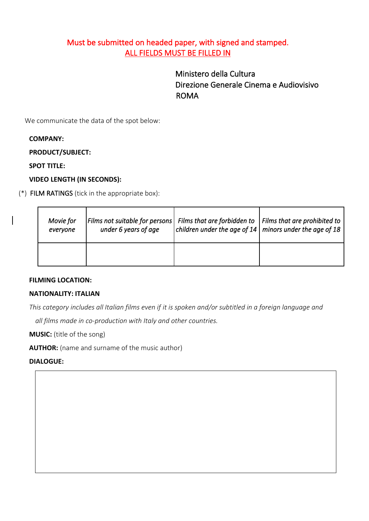# Must be submitted on headed paper, with signed and stamped. [ALL FIELDS M](https://context.reverso.net/traduzione/inglese-italiano/All+fields+are)UST BE FILLED IN

Ministero della Cultura Direzione Generale Cinema e Audiovisivo ROMA

We communicate the data of the spot below:

## **COMPANY:**

**PRODUCT/SUBJECT:**

**SPOT TITLE:**

## **[VIDEO LENGTH](https://context.reverso.net/traduzione/inglese-italiano/Video+length) (IN SECONDS):**

(\*) [FILM RATINGS](https://context.reverso.net/traduzione/inglese-italiano/film+ratings) (tick in the appropriate box):

| Movie for<br>everyone | Films not suitable for persons   Films that are forbidden to $\vert$ Films that are prohibited to<br>under 6 years of age | children under the age of 14 minors under the age of 18 |  |
|-----------------------|---------------------------------------------------------------------------------------------------------------------------|---------------------------------------------------------|--|
|                       |                                                                                                                           |                                                         |  |

#### **[FILMING LOCATION:](https://context.reverso.net/traduzione/inglese-italiano/filming+location)**

#### **NATIONALITY: ITALIAN**

*This category includes all Italian films even if it is spoken and/or subtitled in a foreign language and*

*all films made in co-production with Italy and other countries.*

**MUSIC:** (title of the song)

**AUTHOR:** (name and surname of the music author)

#### **DIALOGUE:**